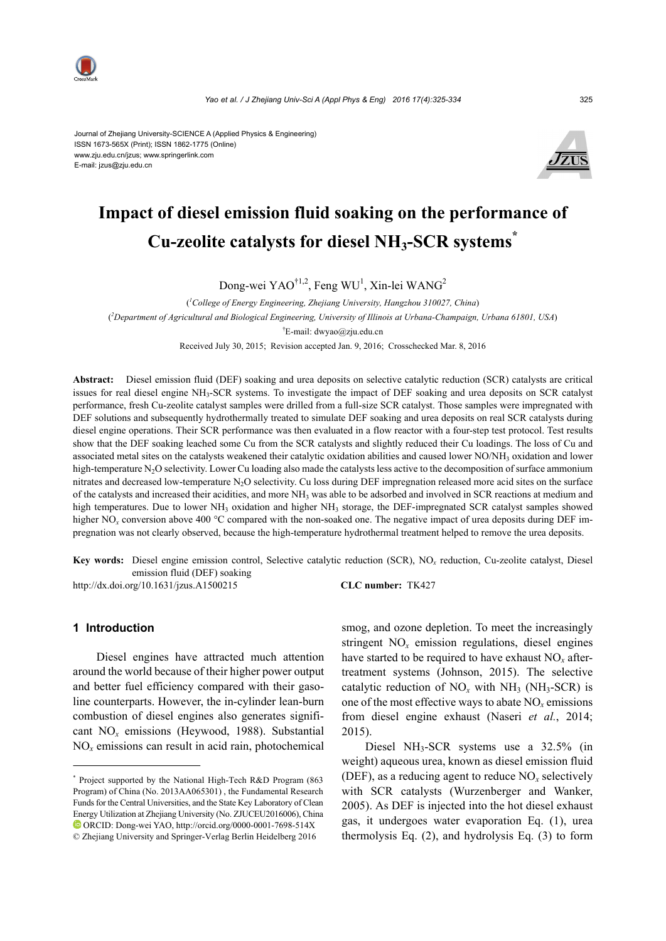



# **Impact of diesel emission fluid soaking on the performance of Cu-zeolite catalysts for diesel NH3-SCR systems\***

Dong-wei  $YAO^{\dagger1,2}$ , Feng WU<sup>1</sup>, Xin-lei WANG<sup>2</sup>

( *1 College of Energy Engineering, Zhejiang University, Hangzhou 310027, China*) ( *2 Department of Agricultural and Biological Engineering, University of Illinois at Urbana-Champaign, Urbana 61801, USA*) † E-mail: dwyao@zju.edu.cn Received July 30, 2015; Revision accepted Jan. 9, 2016; Crosschecked Mar. 8, 2016

**Abstract:** Diesel emission fluid (DEF) soaking and urea deposits on selective catalytic reduction (SCR) catalysts are critical issues for real diesel engine NH3-SCR systems. To investigate the impact of DEF soaking and urea deposits on SCR catalyst performance, fresh Cu-zeolite catalyst samples were drilled from a full-size SCR catalyst. Those samples were impregnated with DEF solutions and subsequently hydrothermally treated to simulate DEF soaking and urea deposits on real SCR catalysts during diesel engine operations. Their SCR performance was then evaluated in a flow reactor with a four-step test protocol. Test results show that the DEF soaking leached some Cu from the SCR catalysts and slightly reduced their Cu loadings. The loss of Cu and associated metal sites on the catalysts weakened their catalytic oxidation abilities and caused lower NO/NH<sub>3</sub> oxidation and lower high-temperature N<sub>2</sub>O selectivity. Lower Cu loading also made the catalysts less active to the decomposition of surface ammonium nitrates and decreased low-temperature  $N_2O$  selectivity. Cu loss during DEF impregnation released more acid sites on the surface of the catalysts and increased their acidities, and more NH3 was able to be adsorbed and involved in SCR reactions at medium and high temperatures. Due to lower NH<sub>3</sub> oxidation and higher NH<sub>3</sub> storage, the DEF-impregnated SCR catalyst samples showed higher NO<sub>x</sub> conversion above 400 °C compared with the non-soaked one. The negative impact of urea deposits during DEF impregnation was not clearly observed, because the high-temperature hydrothermal treatment helped to remove the urea deposits.

**Key words:** Diesel engine emission control, Selective catalytic reduction (SCR), NO*x* reduction, Cu-zeolite catalyst, Diesel emission fluid (DEF) soaking

http://dx.doi.org/10.1631/jzus.A1500215 **CLC number:** TK427

### **1 Introduction**

Diesel engines have attracted much attention around the world because of their higher power output and better fuel efficiency compared with their gasoline counterparts. However, the in-cylinder lean-burn combustion of diesel engines also generates significant NO*x* emissions (Heywood, 1988). Substantial NO*x* emissions can result in acid rain, photochemical smog, and ozone depletion. To meet the increasingly stringent NO*x* emission regulations, diesel engines have started to be required to have exhaust NO*x* aftertreatment systems (Johnson, 2015). The selective catalytic reduction of  $NO_x$  with  $NH_3$  ( $NH_3$ -SCR) is one of the most effective ways to abate NO*x* emissions from diesel engine exhaust (Naseri *et al.*, 2014; 2015).

Diesel NH<sub>3</sub>-SCR systems use a 32.5% (in weight) aqueous urea, known as diesel emission fluid (DEF), as a reducing agent to reduce NO*x* selectively with SCR catalysts (Wurzenberger and Wanker, 2005). As DEF is injected into the hot diesel exhaust gas, it undergoes water evaporation Eq. (1), urea thermolysis Eq. (2), and hydrolysis Eq. (3) to form

<sup>\*</sup> Project supported by the National High-Tech R&D Program (863 Program) of China (No. 2013AA065301) , the Fundamental Research Funds for the Central Universities, and the State Key Laboratory of Clean Energy Utilization at Zhejiang University (No. ZJUCEU2016006), China ORCID: Dong-wei YAO, http://orcid.org/0000-0001-7698-514X © Zhejiang University and Springer-Verlag Berlin Heidelberg 2016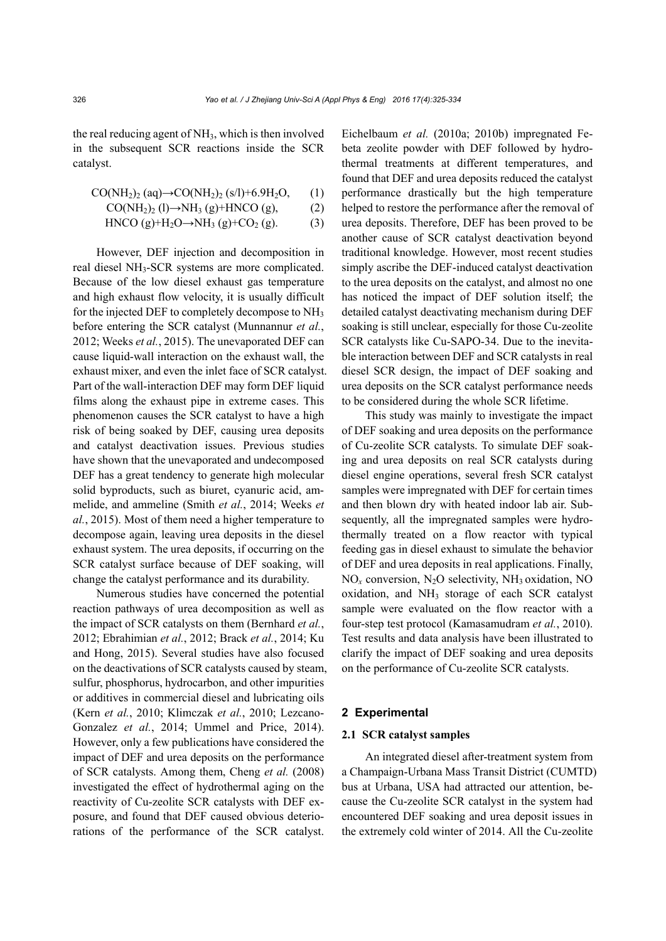the real reducing agent of  $NH_3$ , which is then involved in the subsequent SCR reactions inside the SCR catalyst.

$$
CO(NH_2)_2 (aq) \rightarrow CO(NH_2)_2 (s/l) + 6.9H_2O, \qquad (1)
$$

$$
CO(NH_2)_2(l) \rightarrow NH_3(g) + HNCO(g), \tag{2}
$$

$$
HNCO(g)+H_2O \rightarrow NH_3(g)+CO_2(g). \tag{3}
$$

However, DEF injection and decomposition in real diesel NH<sub>3</sub>-SCR systems are more complicated. Because of the low diesel exhaust gas temperature and high exhaust flow velocity, it is usually difficult for the injected DEF to completely decompose to NH<sub>3</sub> before entering the SCR catalyst (Munnannur *et al.*, 2012; Weeks *et al.*, 2015). The unevaporated DEF can cause liquid-wall interaction on the exhaust wall, the exhaust mixer, and even the inlet face of SCR catalyst. Part of the wall-interaction DEF may form DEF liquid films along the exhaust pipe in extreme cases. This phenomenon causes the SCR catalyst to have a high risk of being soaked by DEF, causing urea deposits and catalyst deactivation issues. Previous studies have shown that the unevaporated and undecomposed DEF has a great tendency to generate high molecular solid byproducts, such as biuret, cyanuric acid, ammelide, and ammeline (Smith *et al.*, 2014; Weeks *et al.*, 2015). Most of them need a higher temperature to decompose again, leaving urea deposits in the diesel exhaust system. The urea deposits, if occurring on the SCR catalyst surface because of DEF soaking, will change the catalyst performance and its durability.

Numerous studies have concerned the potential reaction pathways of urea decomposition as well as the impact of SCR catalysts on them (Bernhard *et al.*, 2012; Ebrahimian *et al.*, 2012; Brack *et al.*, 2014; Ku and Hong, 2015). Several studies have also focused on the deactivations of SCR catalysts caused by steam, sulfur, phosphorus, hydrocarbon, and other impurities or additives in commercial diesel and lubricating oils (Kern *et al.*, 2010; Klimczak *et al.*, 2010; Lezcano-Gonzalez et al., 2014; Ummel and Price, 2014). However, only a few publications have considered the impact of DEF and urea deposits on the performance of SCR catalysts. Among them, Cheng *et al.* (2008) investigated the effect of hydrothermal aging on the reactivity of Cu-zeolite SCR catalysts with DEF exposure, and found that DEF caused obvious deteriorations of the performance of the SCR catalyst.

Eichelbaum *et al.* (2010a; 2010b) impregnated Febeta zeolite powder with DEF followed by hydrothermal treatments at different temperatures, and found that DEF and urea deposits reduced the catalyst performance drastically but the high temperature helped to restore the performance after the removal of urea deposits. Therefore, DEF has been proved to be another cause of SCR catalyst deactivation beyond traditional knowledge. However, most recent studies simply ascribe the DEF-induced catalyst deactivation to the urea deposits on the catalyst, and almost no one has noticed the impact of DEF solution itself; the detailed catalyst deactivating mechanism during DEF soaking is still unclear, especially for those Cu-zeolite SCR catalysts like Cu-SAPO-34. Due to the inevitable interaction between DEF and SCR catalysts in real diesel SCR design, the impact of DEF soaking and urea deposits on the SCR catalyst performance needs to be considered during the whole SCR lifetime.

This study was mainly to investigate the impact of DEF soaking and urea deposits on the performance of Cu-zeolite SCR catalysts. To simulate DEF soaking and urea deposits on real SCR catalysts during diesel engine operations, several fresh SCR catalyst samples were impregnated with DEF for certain times and then blown dry with heated indoor lab air. Subsequently, all the impregnated samples were hydrothermally treated on a flow reactor with typical feeding gas in diesel exhaust to simulate the behavior of DEF and urea deposits in real applications. Finally,  $NO<sub>x</sub>$  conversion, N<sub>2</sub>O selectivity, NH<sub>3</sub> oxidation, NO oxidation, and NH<sub>3</sub> storage of each SCR catalyst sample were evaluated on the flow reactor with a four-step test protocol (Kamasamudram *et al.*, 2010). Test results and data analysis have been illustrated to clarify the impact of DEF soaking and urea deposits on the performance of Cu-zeolite SCR catalysts.

#### **2 Experimental**

#### **2.1 SCR catalyst samples**

An integrated diesel after-treatment system from a Champaign-Urbana Mass Transit District (CUMTD) bus at Urbana, USA had attracted our attention, because the Cu-zeolite SCR catalyst in the system had encountered DEF soaking and urea deposit issues in the extremely cold winter of 2014. All the Cu-zeolite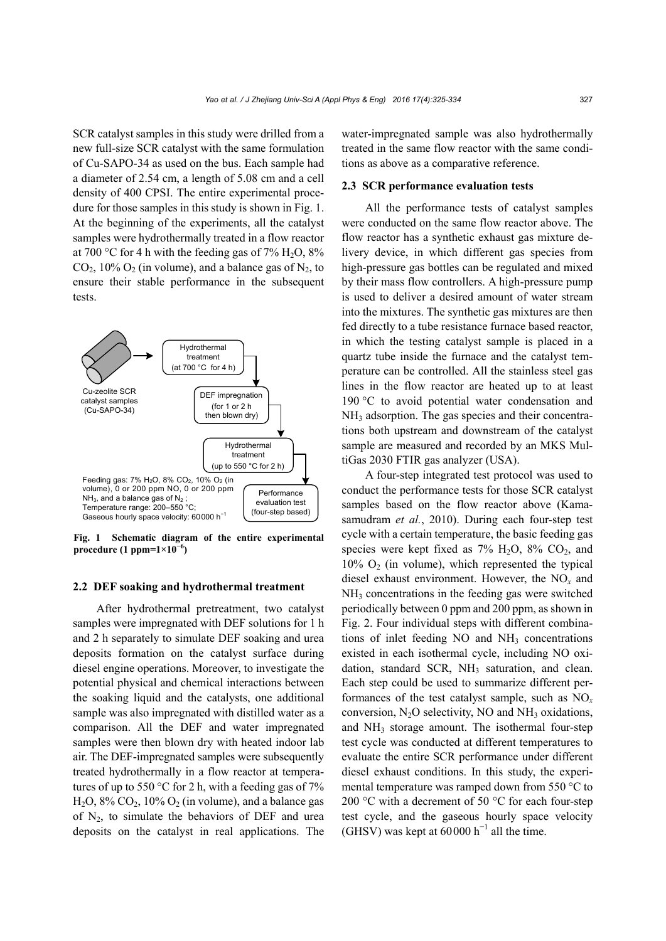SCR catalyst samples in this study were drilled from a new full-size SCR catalyst with the same formulation of Cu-SAPO-34 as used on the bus. Each sample had a diameter of 2.54 cm, a length of 5.08 cm and a cell density of 400 CPSI. The entire experimental procedure for those samples in this study is shown in Fig. 1. At the beginning of the experiments, all the catalyst samples were hydrothermally treated in a flow reactor at 700 °C for 4 h with the feeding gas of 7% H<sub>2</sub>O, 8%  $CO<sub>2</sub>$ , 10%  $O<sub>2</sub>$  (in volume), and a balance gas of N<sub>2</sub>, to ensure their stable performance in the subsequent tests.



**Fig. 1 Schematic diagram of the entire experimental procedure (1 ppm=1×10<sup>−</sup><sup>6</sup> )** 

#### **2.2 DEF soaking and hydrothermal treatment**

After hydrothermal pretreatment, two catalyst samples were impregnated with DEF solutions for 1 h and 2 h separately to simulate DEF soaking and urea deposits formation on the catalyst surface during diesel engine operations. Moreover, to investigate the potential physical and chemical interactions between the soaking liquid and the catalysts, one additional sample was also impregnated with distilled water as a comparison. All the DEF and water impregnated samples were then blown dry with heated indoor lab air. The DEF-impregnated samples were subsequently treated hydrothermally in a flow reactor at temperatures of up to 550 °C for 2 h, with a feeding gas of  $7\%$  $H<sub>2</sub>O$ , 8%  $CO<sub>2</sub>$ , 10%  $O<sub>2</sub>$  (in volume), and a balance gas of  $N_2$ , to simulate the behaviors of DEF and urea deposits on the catalyst in real applications. The

water-impregnated sample was also hydrothermally treated in the same flow reactor with the same conditions as above as a comparative reference.

#### **2.3 SCR performance evaluation tests**

All the performance tests of catalyst samples were conducted on the same flow reactor above. The flow reactor has a synthetic exhaust gas mixture delivery device, in which different gas species from high-pressure gas bottles can be regulated and mixed by their mass flow controllers. A high-pressure pump is used to deliver a desired amount of water stream into the mixtures. The synthetic gas mixtures are then fed directly to a tube resistance furnace based reactor, in which the testing catalyst sample is placed in a quartz tube inside the furnace and the catalyst temperature can be controlled. All the stainless steel gas lines in the flow reactor are heated up to at least 190 °C to avoid potential water condensation and NH<sub>3</sub> adsorption. The gas species and their concentrations both upstream and downstream of the catalyst sample are measured and recorded by an MKS MultiGas 2030 FTIR gas analyzer (USA).

A four-step integrated test protocol was used to conduct the performance tests for those SCR catalyst samples based on the flow reactor above (Kamasamudram *et al.*, 2010). During each four-step test cycle with a certain temperature, the basic feeding gas species were kept fixed as  $7\%$  H<sub>2</sub>O,  $8\%$  CO<sub>2</sub>, and  $10\%$  O<sub>2</sub> (in volume), which represented the typical diesel exhaust environment. However, the NO*x* and NH3 concentrations in the feeding gas were switched periodically between 0 ppm and 200 ppm, as shown in Fig. 2. Four individual steps with different combinations of inlet feeding  $NO$  and  $NH<sub>3</sub>$  concentrations existed in each isothermal cycle, including NO oxidation, standard SCR,  $NH<sub>3</sub>$  saturation, and clean. Each step could be used to summarize different performances of the test catalyst sample, such as NO*<sup>x</sup>* conversion,  $N_2O$  selectivity, NO and NH<sub>3</sub> oxidations, and NH<sub>3</sub> storage amount. The isothermal four-step test cycle was conducted at different temperatures to evaluate the entire SCR performance under different diesel exhaust conditions. In this study, the experimental temperature was ramped down from 550 °C to 200 °C with a decrement of 50 °C for each four-step test cycle, and the gaseous hourly space velocity (GHSV) was kept at  $60000 h^{-1}$  all the time.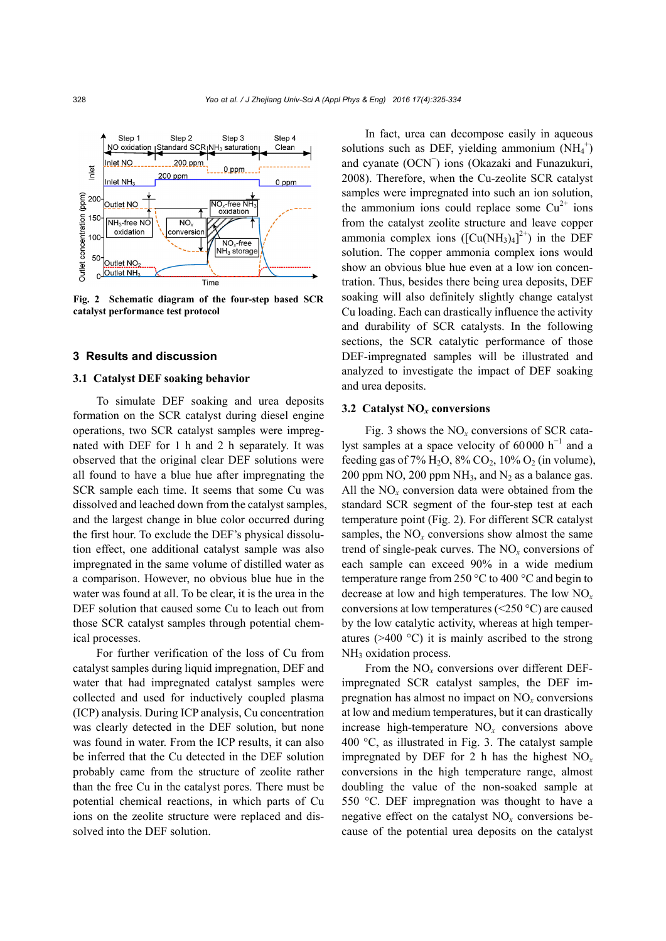

**Fig. 2 Schematic diagram of the four-step based SCR catalyst performance test protocol** 

#### **3 Results and discussion**

#### **3.1 Catalyst DEF soaking behavior**

To simulate DEF soaking and urea deposits formation on the SCR catalyst during diesel engine operations, two SCR catalyst samples were impregnated with DEF for 1 h and 2 h separately. It was observed that the original clear DEF solutions were all found to have a blue hue after impregnating the SCR sample each time. It seems that some Cu was dissolved and leached down from the catalyst samples, and the largest change in blue color occurred during the first hour. To exclude the DEF's physical dissolution effect, one additional catalyst sample was also impregnated in the same volume of distilled water as a comparison. However, no obvious blue hue in the water was found at all. To be clear, it is the urea in the DEF solution that caused some Cu to leach out from those SCR catalyst samples through potential chemical processes.

For further verification of the loss of Cu from catalyst samples during liquid impregnation, DEF and water that had impregnated catalyst samples were collected and used for inductively coupled plasma (ICP) analysis. During ICP analysis, Cu concentration was clearly detected in the DEF solution, but none was found in water. From the ICP results, it can also be inferred that the Cu detected in the DEF solution probably came from the structure of zeolite rather than the free Cu in the catalyst pores. There must be potential chemical reactions, in which parts of Cu ions on the zeolite structure were replaced and dissolved into the DEF solution.

In fact, urea can decompose easily in aqueous solutions such as DEF, yielding ammonium  $(NH_4^+)$ and cyanate (OCN<sup>−</sup> ) ions (Okazaki and Funazukuri, 2008). Therefore, when the Cu-zeolite SCR catalyst samples were impregnated into such an ion solution, the ammonium ions could replace some  $Cu^{2+}$  ions from the catalyst zeolite structure and leave copper ammonia complex ions  $([Cu(NH<sub>3</sub>)<sub>4</sub>]<sup>2+</sup>)$  in the DEF solution. The copper ammonia complex ions would show an obvious blue hue even at a low ion concentration. Thus, besides there being urea deposits, DEF soaking will also definitely slightly change catalyst Cu loading. Each can drastically influence the activity and durability of SCR catalysts. In the following sections, the SCR catalytic performance of those DEF-impregnated samples will be illustrated and analyzed to investigate the impact of DEF soaking and urea deposits.

#### **3.2 Catalyst NO***x* **conversions**

Fig. 3 shows the NO*x* conversions of SCR catalyst samples at a space velocity of 60000  $h^{-1}$  and a feeding gas of 7% H<sub>2</sub>O, 8% CO<sub>2</sub>, 10% O<sub>2</sub> (in volume), 200 ppm NO, 200 ppm  $NH<sub>3</sub>$ , and N<sub>2</sub> as a balance gas. All the NO*x* conversion data were obtained from the standard SCR segment of the four-step test at each temperature point (Fig. 2). For different SCR catalyst samples, the  $NO<sub>x</sub>$  conversions show almost the same trend of single-peak curves. The NO*x* conversions of each sample can exceed 90% in a wide medium temperature range from 250 °C to 400 °C and begin to decrease at low and high temperatures. The low NO*<sup>x</sup>* conversions at low temperatures (<250 °C) are caused by the low catalytic activity, whereas at high temperatures ( $>400$  °C) it is mainly ascribed to the strong NH<sub>3</sub> oxidation process.

From the NO*x* conversions over different DEFimpregnated SCR catalyst samples, the DEF impregnation has almost no impact on NO*x* conversions at low and medium temperatures, but it can drastically increase high-temperature NO*x* conversions above 400 °C, as illustrated in Fig. 3. The catalyst sample impregnated by DEF for 2 h has the highest NO*<sup>x</sup>* conversions in the high temperature range, almost doubling the value of the non-soaked sample at 550 °C. DEF impregnation was thought to have a negative effect on the catalyst  $NO<sub>x</sub>$  conversions because of the potential urea deposits on the catalyst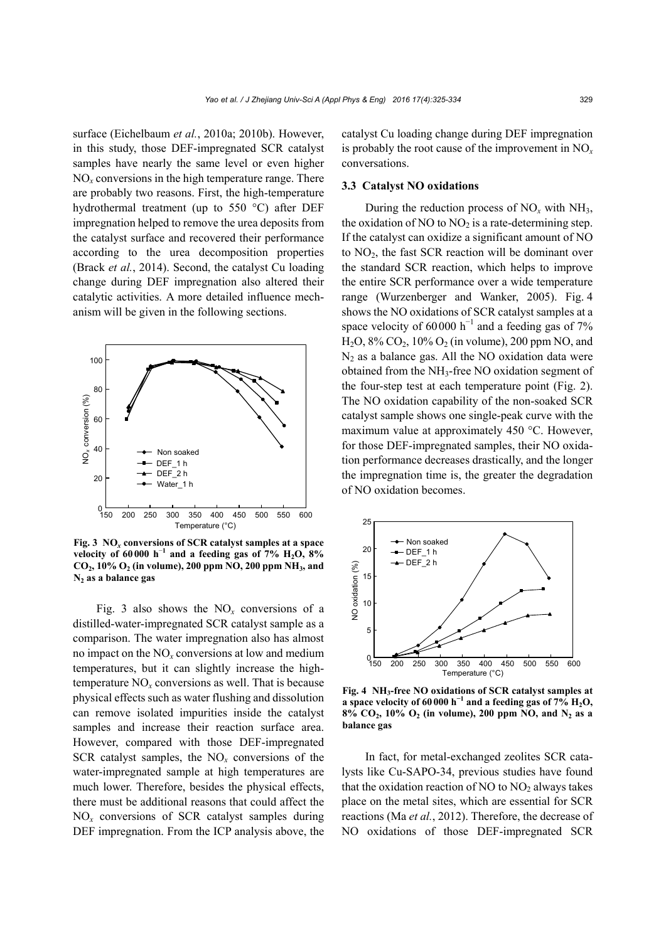surface (Eichelbaum *et al.*, 2010a; 2010b). However, in this study, those DEF-impregnated SCR catalyst samples have nearly the same level or even higher NO*x* conversions in the high temperature range. There are probably two reasons. First, the high-temperature hydrothermal treatment (up to 550 °C) after DEF impregnation helped to remove the urea deposits from the catalyst surface and recovered their performance according to the urea decomposition properties (Brack *et al.*, 2014). Second, the catalyst Cu loading change during DEF impregnation also altered their catalytic activities. A more detailed influence mechanism will be given in the following sections.



**Fig. 3 NO***x* **conversions of SCR catalyst samples at a space velocity of 60 000 h**<sup>−</sup>**<sup>1</sup> and a feeding gas of 7% H2O, 8% CO2, 10% O2 (in volume), 200 ppm NO, 200 ppm NH3, and N2 as a balance gas** 

Fig. 3 also shows the  $NO<sub>x</sub>$  conversions of a distilled-water-impregnated SCR catalyst sample as a comparison. The water impregnation also has almost no impact on the NO*x* conversions at low and medium temperatures, but it can slightly increase the hightemperature NO*x* conversions as well. That is because physical effects such as water flushing and dissolution can remove isolated impurities inside the catalyst samples and increase their reaction surface area. However, compared with those DEF-impregnated SCR catalyst samples, the  $NO<sub>x</sub>$  conversions of the water-impregnated sample at high temperatures are much lower. Therefore, besides the physical effects, there must be additional reasons that could affect the NO*x* conversions of SCR catalyst samples during DEF impregnation. From the ICP analysis above, the

catalyst Cu loading change during DEF impregnation is probably the root cause of the improvement in NO*<sup>x</sup>* conversations.

#### **3.3 Catalyst NO oxidations**

During the reduction process of  $NO<sub>x</sub>$  with  $NH<sub>3</sub>$ , the oxidation of NO to  $NO<sub>2</sub>$  is a rate-determining step. If the catalyst can oxidize a significant amount of NO to NO2, the fast SCR reaction will be dominant over the standard SCR reaction, which helps to improve the entire SCR performance over a wide temperature range (Wurzenberger and Wanker, 2005). Fig. 4 shows the NO oxidations of SCR catalyst samples at a space velocity of 60000  $h^{-1}$  and a feeding gas of 7%  $H_2O$ , 8%  $CO_2$ , 10%  $O_2$  (in volume), 200 ppm NO, and  $N_2$  as a balance gas. All the NO oxidation data were obtained from the NH3-free NO oxidation segment of the four-step test at each temperature point (Fig. 2). The NO oxidation capability of the non-soaked SCR catalyst sample shows one single-peak curve with the maximum value at approximately 450 °C. However, for those DEF-impregnated samples, their NO oxidation performance decreases drastically, and the longer the impregnation time is, the greater the degradation of NO oxidation becomes.



**Fig. 4 NH3-free NO oxidations of SCR catalyst samples at a space velocity of 60 000 h<sup>−</sup><sup>1</sup> and a feeding gas of 7% H2O, 8% CO2, 10% O2 (in volume), 200 ppm NO, and N2 as a balance gas** 

In fact, for metal-exchanged zeolites SCR catalysts like Cu-SAPO-34, previous studies have found that the oxidation reaction of NO to  $NO<sub>2</sub>$  always takes place on the metal sites, which are essential for SCR reactions (Ma *et al.*, 2012). Therefore, the decrease of NO oxidations of those DEF-impregnated SCR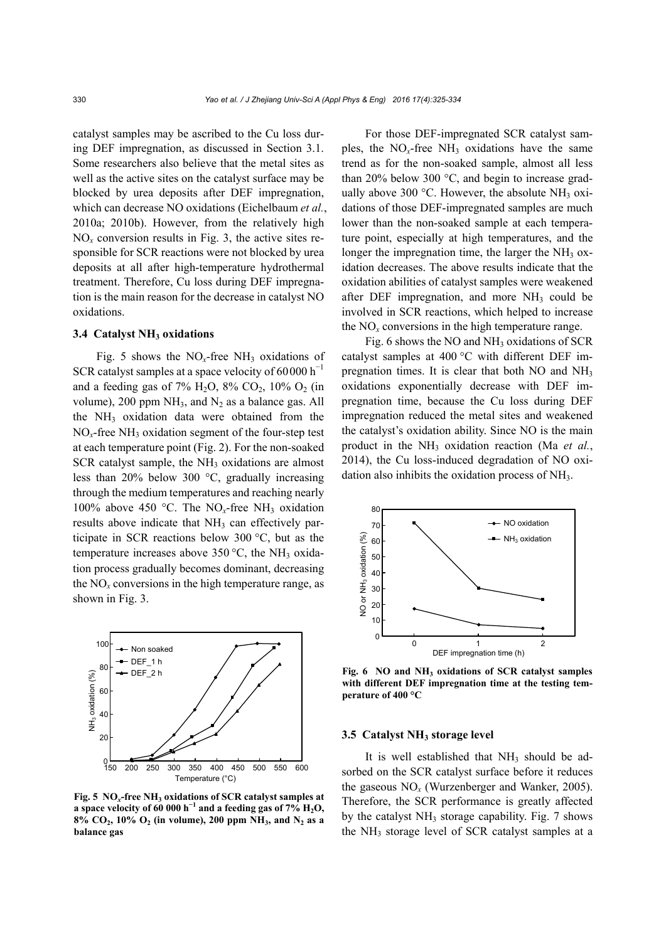catalyst samples may be ascribed to the Cu loss during DEF impregnation, as discussed in Section 3.1. Some researchers also believe that the metal sites as well as the active sites on the catalyst surface may be blocked by urea deposits after DEF impregnation, which can decrease NO oxidations (Eichelbaum *et al.*, 2010a; 2010b). However, from the relatively high  $NO<sub>x</sub>$  conversion results in Fig. 3, the active sites responsible for SCR reactions were not blocked by urea deposits at all after high-temperature hydrothermal treatment. Therefore, Cu loss during DEF impregnation is the main reason for the decrease in catalyst NO oxidations.

#### **3.4 Catalyst NH<sub>3</sub> oxidations**

Fig. 5 shows the  $NO<sub>x</sub>$ -free NH<sub>3</sub> oxidations of SCR catalyst samples at a space velocity of  $60000 h^{-1}$ and a feeding gas of 7% H<sub>2</sub>O, 8% CO<sub>2</sub>, 10% O<sub>2</sub> (in volume), 200 ppm  $NH_3$ , and  $N_2$  as a balance gas. All the  $NH<sub>3</sub>$  oxidation data were obtained from the  $NO<sub>x</sub>$ -free NH<sub>3</sub> oxidation segment of the four-step test at each temperature point (Fig. 2). For the non-soaked SCR catalyst sample, the  $NH<sub>3</sub>$  oxidations are almost less than 20% below 300 °C, gradually increasing through the medium temperatures and reaching nearly 100% above 450 °C. The  $NO<sub>x</sub>$ -free NH<sub>3</sub> oxidation results above indicate that NH<sub>3</sub> can effectively participate in SCR reactions below 300 °C, but as the temperature increases above  $350^{\circ}$ C, the NH<sub>3</sub> oxidation process gradually becomes dominant, decreasing the  $NO<sub>x</sub>$  conversions in the high temperature range, as shown in Fig. 3.



Fig. 5 NO<sub>*x*</sub>-free NH<sub>3</sub> oxidations of SCR catalyst samples at **a space velocity of 60 000 h<sup>−</sup><sup>1</sup> and a feeding gas of 7% H2O, 8% CO2, 10% O2 (in volume), 200 ppm NH3, and N2 as a balance gas** 

For those DEF-impregnated SCR catalyst samples, the  $NO<sub>x</sub>$ -free NH<sub>3</sub> oxidations have the same trend as for the non-soaked sample, almost all less than 20% below 300 °C, and begin to increase gradually above 300 °C. However, the absolute NH<sub>3</sub> oxidations of those DEF-impregnated samples are much lower than the non-soaked sample at each temperature point, especially at high temperatures, and the longer the impregnation time, the larger the  $NH<sub>3</sub>$  oxidation decreases. The above results indicate that the oxidation abilities of catalyst samples were weakened after DEF impregnation, and more  $NH<sub>3</sub>$  could be involved in SCR reactions, which helped to increase the  $NO<sub>x</sub>$  conversions in the high temperature range.

Fig. 6 shows the NO and NH3 oxidations of SCR catalyst samples at 400 °C with different DEF impregnation times. It is clear that both NO and NH3 oxidations exponentially decrease with DEF impregnation time, because the Cu loss during DEF impregnation reduced the metal sites and weakened the catalyst's oxidation ability. Since NO is the main product in the NH<sub>3</sub> oxidation reaction (Ma *et al.*, 2014), the Cu loss-induced degradation of NO oxidation also inhibits the oxidation process of NH3.



DEF<sub>\_2</sub> h  $\big/$   $\big/$  Fig. 6 NO and NH<sub>3</sub> oxidations of SCR catalyst samples **with different DEF impregnation time at the testing temperature of 400 °C** 

#### **3.5 Catalyst NH3 storage level**

It is well established that NH<sub>3</sub> should be adsorbed on the SCR catalyst surface before it reduces the gaseous NO*x* (Wurzenberger and Wanker, 2005). Therefore, the SCR performance is greatly affected by the catalyst  $NH<sub>3</sub>$  storage capability. Fig. 7 shows the NH3 storage level of SCR catalyst samples at a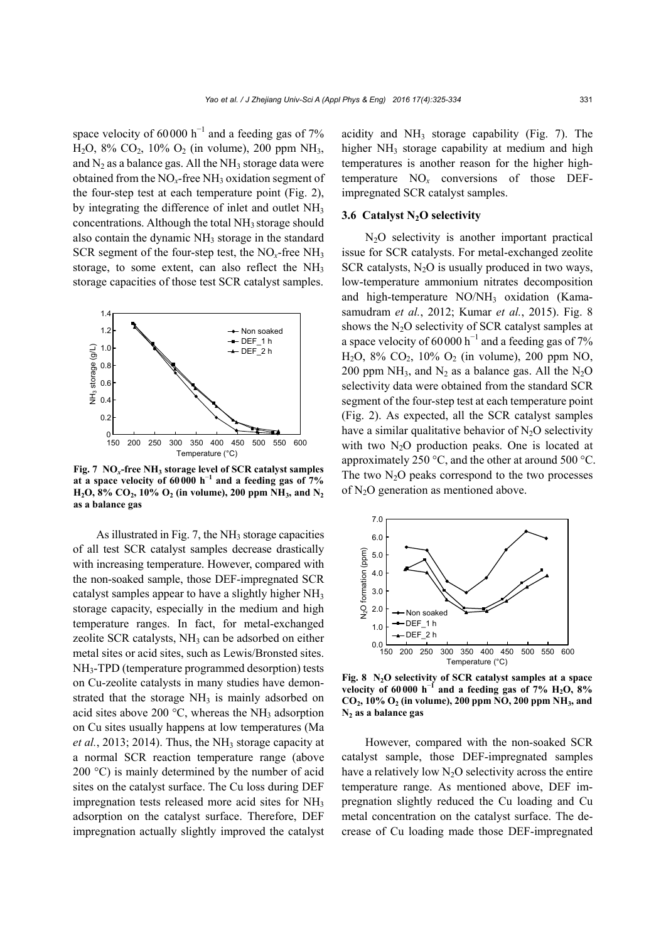space velocity of 60000 h<sup>-1</sup> and a feeding gas of 7% H<sub>2</sub>O, 8% CO<sub>2</sub>, 10% O<sub>2</sub> (in volume), 200 ppm NH<sub>3</sub>, and  $N_2$  as a balance gas. All the  $NH_3$  storage data were obtained from the  $NO<sub>x</sub>$ -free NH<sub>3</sub> oxidation segment of the four-step test at each temperature point (Fig. 2), by integrating the difference of inlet and outlet NH<sub>3</sub> concentrations. Although the total  $NH<sub>3</sub>$  storage should also contain the dynamic  $NH<sub>3</sub>$  storage in the standard SCR segment of the four-step test, the NO*x*-free NH3 storage, to some extent, can also reflect the  $NH<sub>3</sub>$ storage capacities of those test SCR catalyst samples.



**Fig. 7 NO***x***-free NH3 storage level of SCR catalyst samples at a space velocity of 60 000 h**<sup>−</sup>**<sup>1</sup> and a feeding gas of 7% H2O, 8% CO2, 10% O2 (in volume), 200 ppm NH3, and N2 as a balance gas** 

As illustrated in Fig. 7, the  $NH<sub>3</sub>$  storage capacities of all test SCR catalyst samples decrease drastically with increasing temperature. However, compared with the non-soaked sample, those DEF-impregnated SCR catalyst samples appear to have a slightly higher NH3 storage capacity, especially in the medium and high temperature ranges. In fact, for metal-exchanged zeolite SCR catalysts, NH<sub>3</sub> can be adsorbed on either metal sites or acid sites, such as Lewis/Bronsted sites. NH3-TPD (temperature programmed desorption) tests on Cu-zeolite catalysts in many studies have demonstrated that the storage  $NH<sub>3</sub>$  is mainly adsorbed on acid sites above 200  $^{\circ}$ C, whereas the NH<sub>3</sub> adsorption on Cu sites usually happens at low temperatures (Ma *et al.*, 2013; 2014). Thus, the  $NH_3$  storage capacity at a normal SCR reaction temperature range (above 200 °C) is mainly determined by the number of acid sites on the catalyst surface. The Cu loss during DEF impregnation tests released more acid sites for NH<sub>3</sub> adsorption on the catalyst surface. Therefore, DEF impregnation actually slightly improved the catalyst acidity and NH<sub>3</sub> storage capability (Fig. 7). The higher  $NH_3$  storage capability at medium and high temperatures is another reason for the higher hightemperature NO*x* conversions of those DEFimpregnated SCR catalyst samples.

#### **3.6 Catalyst N2O selectivity**

N2O selectivity is another important practical issue for SCR catalysts. For metal-exchanged zeolite SCR catalysts,  $N_2O$  is usually produced in two ways, low-temperature ammonium nitrates decomposition and high-temperature  $NO/NH_3$  oxidation (Kamasamudram *et al.*, 2012; Kumar *et al.*, 2015). Fig. 8 shows the  $N_2O$  selectivity of SCR catalyst samples at a space velocity of 60 000 h<sup>-1</sup> and a feeding gas of 7% H<sub>2</sub>O, 8% CO<sub>2</sub>, 10% O<sub>2</sub> (in volume), 200 ppm NO, 200 ppm NH<sub>3</sub>, and N<sub>2</sub> as a balance gas. All the N<sub>2</sub>O selectivity data were obtained from the standard SCR segment of the four-step test at each temperature point (Fig. 2). As expected, all the SCR catalyst samples have a similar qualitative behavior of  $N_2O$  selectivity with two  $N_2O$  production peaks. One is located at approximately 250 °C, and the other at around 500 °C. The two  $N_2O$  peaks correspond to the two processes of  $N_2O$  generation as mentioned above.



**Fig. 8 N2O selectivity of SCR catalyst samples at a space velocity of 60 000 h**<sup>−</sup>**<sup>1</sup> and a feeding gas of 7% H2O, 8% CO2, 10% O2 (in volume), 200 ppm NO, 200 ppm NH3, and N2 as a balance gas** 

However, compared with the non-soaked SCR catalyst sample, those DEF-impregnated samples have a relatively low  $N_2O$  selectivity across the entire temperature range. As mentioned above, DEF impregnation slightly reduced the Cu loading and Cu metal concentration on the catalyst surface. The decrease of Cu loading made those DEF-impregnated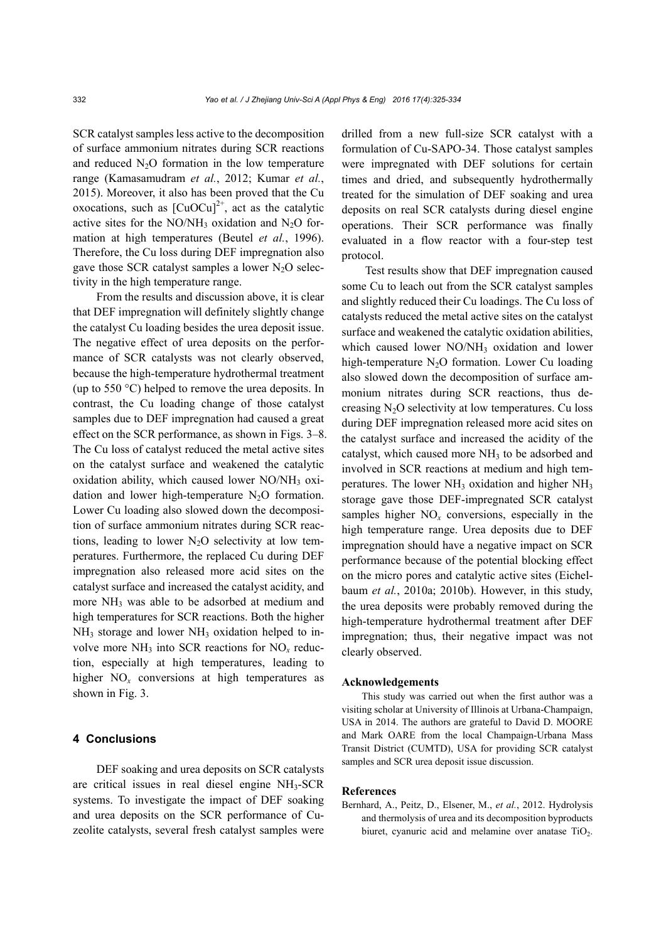SCR catalyst samples less active to the decomposition of surface ammonium nitrates during SCR reactions and reduced  $N_2O$  formation in the low temperature range (Kamasamudram *et al.*, 2012; Kumar *et al.*, 2015). Moreover, it also has been proved that the Cu oxocations, such as  $[CuOCu]<sup>2+</sup>$ , act as the catalytic active sites for the NO/NH<sub>3</sub> oxidation and N<sub>2</sub>O formation at high temperatures (Beutel *et al.*, 1996). Therefore, the Cu loss during DEF impregnation also gave those SCR catalyst samples a lower  $N_2O$  selectivity in the high temperature range.

From the results and discussion above, it is clear that DEF impregnation will definitely slightly change the catalyst Cu loading besides the urea deposit issue. The negative effect of urea deposits on the performance of SCR catalysts was not clearly observed, because the high-temperature hydrothermal treatment (up to 550 °C) helped to remove the urea deposits. In contrast, the Cu loading change of those catalyst samples due to DEF impregnation had caused a great effect on the SCR performance, as shown in Figs. 3–8. The Cu loss of catalyst reduced the metal active sites on the catalyst surface and weakened the catalytic oxidation ability, which caused lower NO/NH<sub>3</sub> oxidation and lower high-temperature  $N_2O$  formation. Lower Cu loading also slowed down the decomposition of surface ammonium nitrates during SCR reactions, leading to lower  $N_2O$  selectivity at low temperatures. Furthermore, the replaced Cu during DEF impregnation also released more acid sites on the catalyst surface and increased the catalyst acidity, and more NH<sub>3</sub> was able to be adsorbed at medium and high temperatures for SCR reactions. Both the higher  $NH<sub>3</sub>$  storage and lower NH<sub>3</sub> oxidation helped to involve more  $NH_3$  into SCR reactions for  $NO<sub>x</sub>$  reduction, especially at high temperatures, leading to higher  $NO<sub>x</sub>$  conversions at high temperatures as shown in Fig. 3.

#### **4 Conclusions**

DEF soaking and urea deposits on SCR catalysts are critical issues in real diesel engine NH3-SCR systems. To investigate the impact of DEF soaking and urea deposits on the SCR performance of Cuzeolite catalysts, several fresh catalyst samples were drilled from a new full-size SCR catalyst with a formulation of Cu-SAPO-34. Those catalyst samples were impregnated with DEF solutions for certain times and dried, and subsequently hydrothermally treated for the simulation of DEF soaking and urea deposits on real SCR catalysts during diesel engine operations. Their SCR performance was finally evaluated in a flow reactor with a four-step test protocol.

Test results show that DEF impregnation caused some Cu to leach out from the SCR catalyst samples and slightly reduced their Cu loadings. The Cu loss of catalysts reduced the metal active sites on the catalyst surface and weakened the catalytic oxidation abilities, which caused lower NO/NH<sub>3</sub> oxidation and lower high-temperature  $N_2O$  formation. Lower Cu loading also slowed down the decomposition of surface ammonium nitrates during SCR reactions, thus decreasing  $N_2O$  selectivity at low temperatures. Cu loss during DEF impregnation released more acid sites on the catalyst surface and increased the acidity of the catalyst, which caused more NH<sub>3</sub> to be adsorbed and involved in SCR reactions at medium and high temperatures. The lower  $NH_3$  oxidation and higher  $NH_3$ storage gave those DEF-impregnated SCR catalyst samples higher  $NO<sub>x</sub>$  conversions, especially in the high temperature range. Urea deposits due to DEF impregnation should have a negative impact on SCR performance because of the potential blocking effect on the micro pores and catalytic active sites (Eichelbaum *et al.*, 2010a; 2010b). However, in this study, the urea deposits were probably removed during the high-temperature hydrothermal treatment after DEF impregnation; thus, their negative impact was not clearly observed.

#### **Acknowledgements**

This study was carried out when the first author was a visiting scholar at University of Illinois at Urbana-Champaign, USA in 2014. The authors are grateful to David D. MOORE and Mark OARE from the local Champaign-Urbana Mass Transit District (CUMTD), USA for providing SCR catalyst samples and SCR urea deposit issue discussion.

#### **References**

Bernhard, A., Peitz, D., Elsener, M., *et al.*, 2012. Hydrolysis and thermolysis of urea and its decomposition byproducts biuret, cyanuric acid and melamine over anatase  $TiO<sub>2</sub>$ .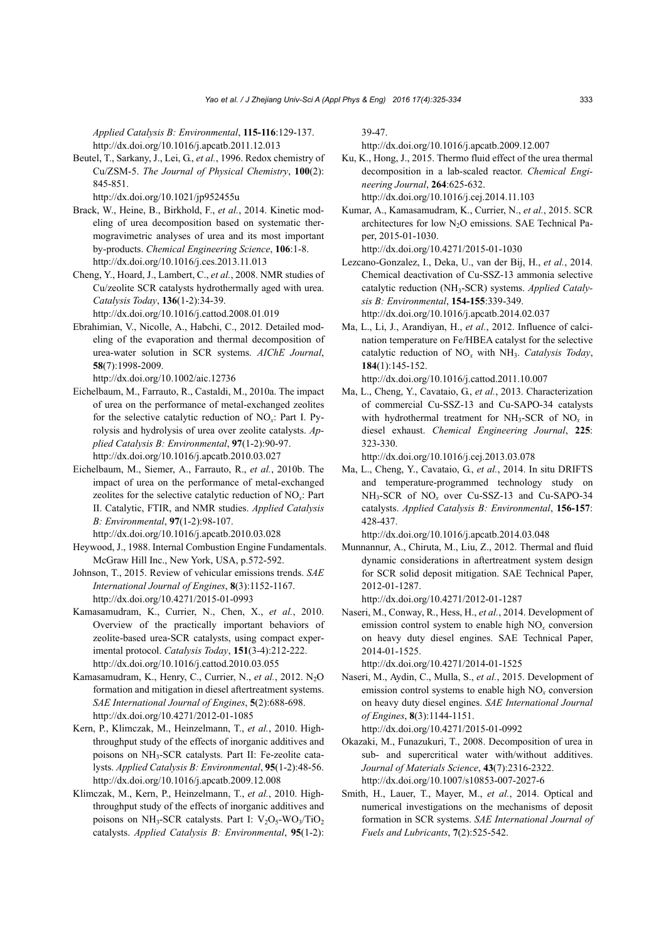*Applied Catalysis B: Environmental*, **115-116**:129-137. http://dx.doi.org/10.1016/j.apcatb.2011.12.013

Beutel, T., Sarkany, J., Lei, G., *et al.*, 1996. Redox chemistry of Cu/ZSM-5. *The Journal of Physical Chemistry*, **100**(2): 845-851.

http://dx.doi.org/10.1021/jp952455u

- Brack, W., Heine, B., Birkhold, F., *et al.*, 2014. Kinetic modeling of urea decomposition based on systematic thermogravimetric analyses of urea and its most important by-products. *Chemical Engineering Science*, **106**:1-8. http://dx.doi.org/10.1016/j.ces.2013.11.013
- Cheng, Y., Hoard, J., Lambert, C., *et al.*, 2008. NMR studies of Cu/zeolite SCR catalysts hydrothermally aged with urea. *Catalysis Today*, **136**(1-2):34-39.

http://dx.doi.org/10.1016/j.cattod.2008.01.019

Ebrahimian, V., Nicolle, A., Habchi, C., 2012. Detailed modeling of the evaporation and thermal decomposition of urea-water solution in SCR systems. *AIChE Journal*, **58**(7):1998-2009.

http://dx.doi.org/10.1002/aic.12736

- Eichelbaum, M., Farrauto, R., Castaldi, M., 2010a. The impact of urea on the performance of metal-exchanged zeolites for the selective catalytic reduction of NO*x*: Part I. Pyrolysis and hydrolysis of urea over zeolite catalysts. *Applied Catalysis B: Environmental*, **97**(1-2):90-97. http://dx.doi.org/10.1016/j.apcatb.2010.03.027
- Eichelbaum, M., Siemer, A., Farrauto, R., *et al.*, 2010b. The impact of urea on the performance of metal-exchanged zeolites for the selective catalytic reduction of NO*x*: Part II. Catalytic, FTIR, and NMR studies. *Applied Catalysis B: Environmental*, **97**(1-2):98-107.

http://dx.doi.org/10.1016/j.apcatb.2010.03.028

- Heywood, J., 1988. Internal Combustion Engine Fundamentals. McGraw Hill Inc., New York, USA, p.572-592.
- Johnson, T., 2015. Review of vehicular emissions trends. *SAE International Journal of Engines*, **8**(3):1152-1167. http://dx.doi.org/10.4271/2015-01-0993
- Kamasamudram, K., Currier, N., Chen, X., *et al.*, 2010. Overview of the practically important behaviors of zeolite-based urea-SCR catalysts, using compact experimental protocol. *Catalysis Today*, **151**(3-4):212-222. http://dx.doi.org/10.1016/j.cattod.2010.03.055
- Kamasamudram, K., Henry, C., Currier, N., et al., 2012. N<sub>2</sub>O formation and mitigation in diesel aftertreatment systems. *SAE International Journal of Engines*, **5**(2):688-698. http://dx.doi.org/10.4271/2012-01-1085
- Kern, P., Klimczak, M., Heinzelmann, T., *et al.*, 2010. Highthroughput study of the effects of inorganic additives and poisons on NH3-SCR catalysts. Part II: Fe-zeolite catalysts. *Applied Catalysis B: Environmental*, **95**(1-2):48-56. http://dx.doi.org/10.1016/j.apcatb.2009.12.008
- Klimczak, M., Kern, P., Heinzelmann, T., *et al.*, 2010. Highthroughput study of the effects of inorganic additives and poisons on NH<sub>3</sub>-SCR catalysts. Part I:  $V_2O_5-WO_3/TiO_2$ catalysts. *Applied Catalysis B: Environmental*, **95**(1-2):

39-47.

http://dx.doi.org/10.1016/j.apcatb.2009.12.007

- Ku, K., Hong, J., 2015. Thermo fluid effect of the urea thermal decomposition in a lab-scaled reactor. *Chemical Engineering Journal*, **264**:625-632. http://dx.doi.org/10.1016/j.cej.2014.11.103
- Kumar, A., Kamasamudram, K., Currier, N., *et al.*, 2015. SCR architectures for low N<sub>2</sub>O emissions. SAE Technical Paper, 2015-01-1030. http://dx.doi.org/10.4271/2015-01-1030

Lezcano-Gonzalez, I., Deka, U., van der Bij, H., *et al.*, 2014. Chemical deactivation of Cu-SSZ-13 ammonia selective catalytic reduction (NH3-SCR) systems. *Applied Catalysis B: Environmental*, **154-155**:339-349. http://dx.doi.org/10.1016/j.apcatb.2014.02.037

Ma, L., Li, J., Arandiyan, H., *et al.*, 2012. Influence of calcination temperature on Fe/HBEA catalyst for the selective catalytic reduction of NO*x* with NH3. *Catalysis Today*, **184**(1):145-152.

http://dx.doi.org/10.1016/j.cattod.2011.10.007

Ma, L., Cheng, Y., Cavataio, G., *et al.*, 2013. Characterization of commercial Cu-SSZ-13 and Cu-SAPO-34 catalysts with hydrothermal treatment for NH<sub>3</sub>-SCR of NO<sub>x</sub> in diesel exhaust. *Chemical Engineering Journal*, **225**: 323-330.

http://dx.doi.org/10.1016/j.cej.2013.03.078

Ma, L., Cheng, Y., Cavataio, G., *et al.*, 2014. In situ DRIFTS and temperature-programmed technology study on NH3-SCR of NO*x* over Cu-SSZ-13 and Cu-SAPO-34 catalysts. *Applied Catalysis B: Environmental*, **156-157**: 428-437.

http://dx.doi.org/10.1016/j.apcatb.2014.03.048

Munnannur, A., Chiruta, M., Liu, Z., 2012. Thermal and fluid dynamic considerations in aftertreatment system design for SCR solid deposit mitigation. SAE Technical Paper, 2012-01-1287. http://dx.doi.org/10.4271/2012-01-1287

Naseri, M., Conway, R., Hess, H., *et al.*, 2014. Development of emission control system to enable high NO*x* conversion on heavy duty diesel engines. SAE Technical Paper, 2014-01-1525.

http://dx.doi.org/10.4271/2014-01-1525

Naseri, M., Aydin, C., Mulla, S., *et al.*, 2015. Development of emission control systems to enable high NO*x* conversion on heavy duty diesel engines. *SAE International Journal of Engines*, **8**(3):1144-1151.

http://dx.doi.org/10.4271/2015-01-0992

- Okazaki, M., Funazukuri, T., 2008. Decomposition of urea in sub- and supercritical water with/without additives. *Journal of Materials Science*, **43**(7):2316-2322. http://dx.doi.org/10.1007/s10853-007-2027-6
- Smith, H., Lauer, T., Mayer, M., *et al.*, 2014. Optical and numerical investigations on the mechanisms of deposit formation in SCR systems. *SAE International Journal of Fuels and Lubricants*, **7**(2):525-542.